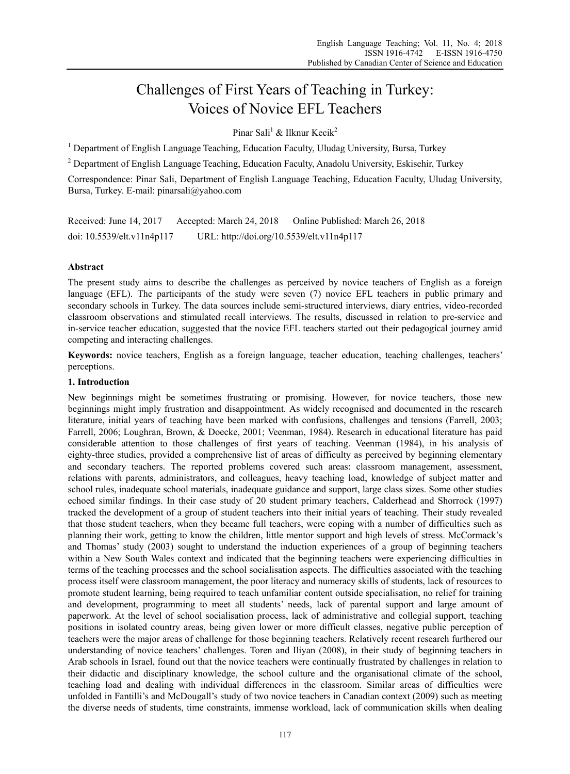# Challenges of First Years of Teaching in Turkey: Voices of Novice EFL Teachers

Pinar Sali<sup>1</sup> & Ilknur Kecik<sup>2</sup>

<sup>1</sup> Department of English Language Teaching, Education Faculty, Uludag University, Bursa, Turkey

<sup>2</sup> Department of English Language Teaching, Education Faculty, Anadolu University, Eskisehir, Turkey

Correspondence: Pinar Sali, Department of English Language Teaching, Education Faculty, Uludag University, Bursa, Turkey. E-mail: pinarsali@yahoo.com

Received: June 14, 2017 Accepted: March 24, 2018 Online Published: March 26, 2018 doi: 10.5539/elt.v11n4p117 URL: http://doi.org/10.5539/elt.v11n4p117

## **Abstract**

The present study aims to describe the challenges as perceived by novice teachers of English as a foreign language (EFL). The participants of the study were seven (7) novice EFL teachers in public primary and secondary schools in Turkey. The data sources include semi-structured interviews, diary entries, video-recorded classroom observations and stimulated recall interviews. The results, discussed in relation to pre-service and in-service teacher education, suggested that the novice EFL teachers started out their pedagogical journey amid competing and interacting challenges.

**Keywords:** novice teachers, English as a foreign language, teacher education, teaching challenges, teachers' perceptions.

#### **1. Introduction**

New beginnings might be sometimes frustrating or promising. However, for novice teachers, those new beginnings might imply frustration and disappointment. As widely recognised and documented in the research literature, initial years of teaching have been marked with confusions, challenges and tensions (Farrell, 2003; Farrell, 2006; Loughran, Brown, & Doecke, 2001; Veenman, 1984). Research in educational literature has paid considerable attention to those challenges of first years of teaching. Veenman (1984), in his analysis of eighty-three studies, provided a comprehensive list of areas of difficulty as perceived by beginning elementary and secondary teachers. The reported problems covered such areas: classroom management, assessment, relations with parents, administrators, and colleagues, heavy teaching load, knowledge of subject matter and school rules, inadequate school materials, inadequate guidance and support, large class sizes. Some other studies echoed similar findings. In their case study of 20 student primary teachers, Calderhead and Shorrock (1997) tracked the development of a group of student teachers into their initial years of teaching. Their study revealed that those student teachers, when they became full teachers, were coping with a number of difficulties such as planning their work, getting to know the children, little mentor support and high levels of stress. McCormack's and Thomas' study (2003) sought to understand the induction experiences of a group of beginning teachers within a New South Wales context and indicated that the beginning teachers were experiencing difficulties in terms of the teaching processes and the school socialisation aspects. The difficulties associated with the teaching process itself were classroom management, the poor literacy and numeracy skills of students, lack of resources to promote student learning, being required to teach unfamiliar content outside specialisation, no relief for training and development, programming to meet all students' needs, lack of parental support and large amount of paperwork. At the level of school socialisation process, lack of administrative and collegial support, teaching positions in isolated country areas, being given lower or more difficult classes, negative public perception of teachers were the major areas of challenge for those beginning teachers. Relatively recent research furthered our understanding of novice teachers' challenges. Toren and Iliyan (2008), in their study of beginning teachers in Arab schools in Israel, found out that the novice teachers were continually frustrated by challenges in relation to their didactic and disciplinary knowledge, the school culture and the organisational climate of the school, teaching load and dealing with individual differences in the classroom. Similar areas of difficulties were unfolded in Fantilli's and McDougall's study of two novice teachers in Canadian context (2009) such as meeting the diverse needs of students, time constraints, immense workload, lack of communication skills when dealing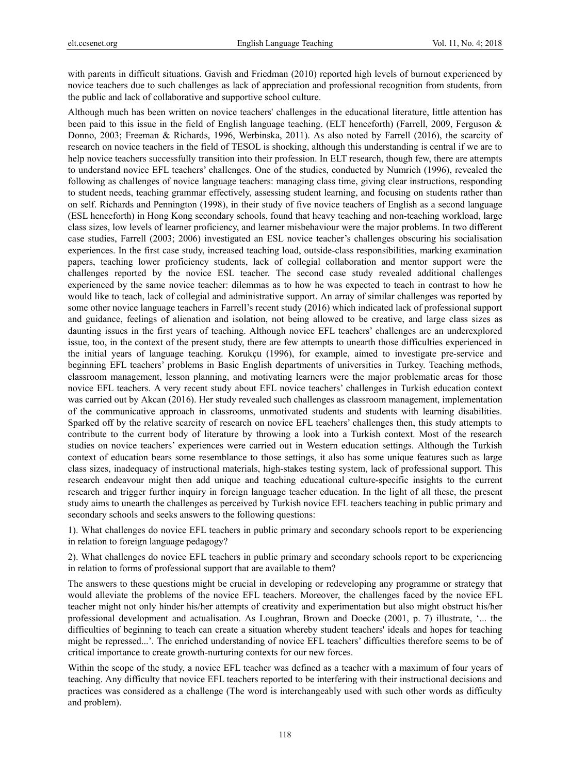with parents in difficult situations. Gavish and Friedman (2010) reported high levels of burnout experienced by novice teachers due to such challenges as lack of appreciation and professional recognition from students, from the public and lack of collaborative and supportive school culture.

Although much has been written on novice teachers' challenges in the educational literature, little attention has been paid to this issue in the field of English language teaching. (ELT henceforth) (Farrell, 2009, Ferguson & Donno, 2003; Freeman & Richards, 1996, Werbinska, 2011). As also noted by Farrell (2016), the scarcity of research on novice teachers in the field of TESOL is shocking, although this understanding is central if we are to help novice teachers successfully transition into their profession. In ELT research, though few, there are attempts to understand novice EFL teachers' challenges. One of the studies, conducted by Numrich (1996), revealed the following as challenges of novice language teachers: managing class time, giving clear instructions, responding to student needs, teaching grammar effectively, assessing student learning, and focusing on students rather than on self. Richards and Pennington (1998), in their study of five novice teachers of English as a second language (ESL henceforth) in Hong Kong secondary schools, found that heavy teaching and non-teaching workload, large class sizes, low levels of learner proficiency, and learner misbehaviour were the major problems. In two different case studies, Farrell (2003; 2006) investigated an ESL novice teacher's challenges obscuring his socialisation experiences. In the first case study, increased teaching load, outside-class responsibilities, marking examination papers, teaching lower proficiency students, lack of collegial collaboration and mentor support were the challenges reported by the novice ESL teacher. The second case study revealed additional challenges experienced by the same novice teacher: dilemmas as to how he was expected to teach in contrast to how he would like to teach, lack of collegial and administrative support. An array of similar challenges was reported by some other novice language teachers in Farrell's recent study (2016) which indicated lack of professional support and guidance, feelings of alienation and isolation, not being allowed to be creative, and large class sizes as daunting issues in the first years of teaching. Although novice EFL teachers' challenges are an underexplored issue, too, in the context of the present study, there are few attempts to unearth those difficulties experienced in the initial years of language teaching. Korukçu (1996), for example, aimed to investigate pre-service and beginning EFL teachers' problems in Basic English departments of universities in Turkey. Teaching methods, classroom management, lesson planning, and motivating learners were the major problematic areas for those novice EFL teachers. A very recent study about EFL novice teachers' challenges in Turkish education context was carried out by Akcan (2016). Her study revealed such challenges as classroom management, implementation of the communicative approach in classrooms, unmotivated students and students with learning disabilities. Sparked off by the relative scarcity of research on novice EFL teachers' challenges then, this study attempts to contribute to the current body of literature by throwing a look into a Turkish context. Most of the research studies on novice teachers' experiences were carried out in Western education settings. Although the Turkish context of education bears some resemblance to those settings, it also has some unique features such as large class sizes, inadequacy of instructional materials, high-stakes testing system, lack of professional support. This research endeavour might then add unique and teaching educational culture-specific insights to the current research and trigger further inquiry in foreign language teacher education. In the light of all these, the present study aims to unearth the challenges as perceived by Turkish novice EFL teachers teaching in public primary and secondary schools and seeks answers to the following questions:

1). What challenges do novice EFL teachers in public primary and secondary schools report to be experiencing in relation to foreign language pedagogy?

2). What challenges do novice EFL teachers in public primary and secondary schools report to be experiencing in relation to forms of professional support that are available to them?

The answers to these questions might be crucial in developing or redeveloping any programme or strategy that would alleviate the problems of the novice EFL teachers. Moreover, the challenges faced by the novice EFL teacher might not only hinder his/her attempts of creativity and experimentation but also might obstruct his/her professional development and actualisation. As Loughran, Brown and Doecke (2001, p. 7) illustrate, '... the difficulties of beginning to teach can create a situation whereby student teachers' ideals and hopes for teaching might be repressed...'. The enriched understanding of novice EFL teachers' difficulties therefore seems to be of critical importance to create growth-nurturing contexts for our new forces.

Within the scope of the study, a novice EFL teacher was defined as a teacher with a maximum of four years of teaching. Any difficulty that novice EFL teachers reported to be interfering with their instructional decisions and practices was considered as a challenge (The word is interchangeably used with such other words as difficulty and problem).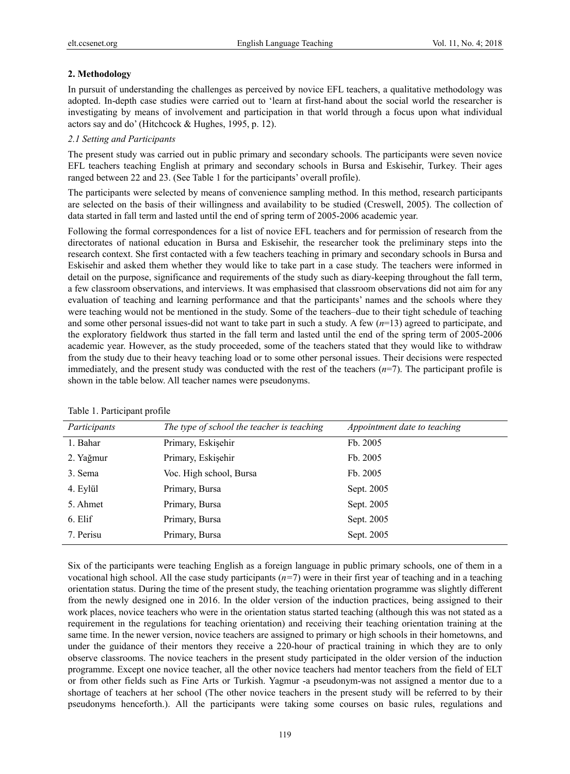# **2. Methodology**

In pursuit of understanding the challenges as perceived by novice EFL teachers, a qualitative methodology was adopted. In-depth case studies were carried out to 'learn at first-hand about the social world the researcher is investigating by means of involvement and participation in that world through a focus upon what individual actors say and do' (Hitchcock & Hughes, 1995, p. 12).

# *2.1 Setting and Participants*

The present study was carried out in public primary and secondary schools. The participants were seven novice EFL teachers teaching English at primary and secondary schools in Bursa and Eskisehir, Turkey. Their ages ranged between 22 and 23. (See Table 1 for the participants' overall profile).

The participants were selected by means of convenience sampling method. In this method, research participants are selected on the basis of their willingness and availability to be studied (Creswell, 2005). The collection of data started in fall term and lasted until the end of spring term of 2005-2006 academic year.

Following the formal correspondences for a list of novice EFL teachers and for permission of research from the directorates of national education in Bursa and Eskisehir, the researcher took the preliminary steps into the research context. She first contacted with a few teachers teaching in primary and secondary schools in Bursa and Eskisehir and asked them whether they would like to take part in a case study. The teachers were informed in detail on the purpose, significance and requirements of the study such as diary-keeping throughout the fall term, a few classroom observations, and interviews. It was emphasised that classroom observations did not aim for any evaluation of teaching and learning performance and that the participants' names and the schools where they were teaching would not be mentioned in the study. Some of the teachers–due to their tight schedule of teaching and some other personal issues-did not want to take part in such a study. A few (*n*=13) agreed to participate, and the exploratory fieldwork thus started in the fall term and lasted until the end of the spring term of 2005-2006 academic year. However, as the study proceeded, some of the teachers stated that they would like to withdraw from the study due to their heavy teaching load or to some other personal issues. Their decisions were respected immediately, and the present study was conducted with the rest of the teachers  $(n=7)$ . The participant profile is shown in the table below. All teacher names were pseudonyms.

| Participants | The type of school the teacher is teaching | Appointment date to teaching |
|--------------|--------------------------------------------|------------------------------|
| 1. Bahar     | Primary, Eskişehir                         | Fb. 2005                     |
| 2. Yağmur    | Primary, Eskişehir                         | Fb. 2005                     |
| 3. Sema      | Voc. High school, Bursa                    | Fb. 2005                     |
| 4. Eylül     | Primary, Bursa                             | Sept. 2005                   |
| 5. Ahmet     | Primary, Bursa                             | Sept. 2005                   |
| 6. Elif      | Primary, Bursa                             | Sept. 2005                   |
| 7. Perisu    | Primary, Bursa                             | Sept. 2005                   |
|              |                                            |                              |

Six of the participants were teaching English as a foreign language in public primary schools, one of them in a vocational high school. All the case study participants (*n=*7) were in their first year of teaching and in a teaching orientation status. During the time of the present study, the teaching orientation programme was slightly different from the newly designed one in 2016. In the older version of the induction practices, being assigned to their work places, novice teachers who were in the orientation status started teaching (although this was not stated as a requirement in the regulations for teaching orientation) and receiving their teaching orientation training at the same time. In the newer version, novice teachers are assigned to primary or high schools in their hometowns, and under the guidance of their mentors they receive a 220-hour of practical training in which they are to only observe classrooms. The novice teachers in the present study participated in the older version of the induction programme. Except one novice teacher, all the other novice teachers had mentor teachers from the field of ELT or from other fields such as Fine Arts or Turkish. Yagmur -a pseudonym-was not assigned a mentor due to a shortage of teachers at her school (The other novice teachers in the present study will be referred to by their pseudonyms henceforth.). All the participants were taking some courses on basic rules, regulations and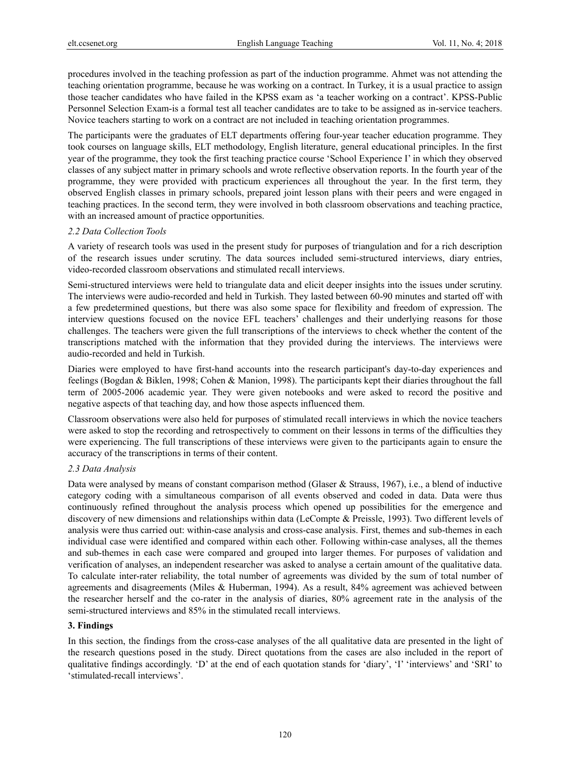procedures involved in the teaching profession as part of the induction programme. Ahmet was not attending the teaching orientation programme, because he was working on a contract. In Turkey, it is a usual practice to assign those teacher candidates who have failed in the KPSS exam as 'a teacher working on a contract'. KPSS-Public Personnel Selection Exam-is a formal test all teacher candidates are to take to be assigned as in-service teachers. Novice teachers starting to work on a contract are not included in teaching orientation programmes.

The participants were the graduates of ELT departments offering four-year teacher education programme. They took courses on language skills, ELT methodology, English literature, general educational principles. In the first year of the programme, they took the first teaching practice course 'School Experience I' in which they observed classes of any subject matter in primary schools and wrote reflective observation reports. In the fourth year of the programme, they were provided with practicum experiences all throughout the year. In the first term, they observed English classes in primary schools, prepared joint lesson plans with their peers and were engaged in teaching practices. In the second term, they were involved in both classroom observations and teaching practice, with an increased amount of practice opportunities.

## *2.2 Data Collection Tools*

A variety of research tools was used in the present study for purposes of triangulation and for a rich description of the research issues under scrutiny. The data sources included semi-structured interviews, diary entries, video-recorded classroom observations and stimulated recall interviews.

Semi-structured interviews were held to triangulate data and elicit deeper insights into the issues under scrutiny. The interviews were audio-recorded and held in Turkish. They lasted between 60-90 minutes and started off with a few predetermined questions, but there was also some space for flexibility and freedom of expression. The interview questions focused on the novice EFL teachers' challenges and their underlying reasons for those challenges. The teachers were given the full transcriptions of the interviews to check whether the content of the transcriptions matched with the information that they provided during the interviews. The interviews were audio-recorded and held in Turkish.

Diaries were employed to have first-hand accounts into the research participant's day-to-day experiences and feelings (Bogdan & Biklen, 1998; Cohen & Manion, 1998). The participants kept their diaries throughout the fall term of 2005-2006 academic year. They were given notebooks and were asked to record the positive and negative aspects of that teaching day, and how those aspects influenced them.

Classroom observations were also held for purposes of stimulated recall interviews in which the novice teachers were asked to stop the recording and retrospectively to comment on their lessons in terms of the difficulties they were experiencing. The full transcriptions of these interviews were given to the participants again to ensure the accuracy of the transcriptions in terms of their content.

# *2.3 Data Analysis*

Data were analysed by means of constant comparison method (Glaser & Strauss, 1967), i.e., a blend of inductive category coding with a simultaneous comparison of all events observed and coded in data. Data were thus continuously refined throughout the analysis process which opened up possibilities for the emergence and discovery of new dimensions and relationships within data (LeCompte & Preissle, 1993). Two different levels of analysis were thus carried out: within-case analysis and cross-case analysis. First, themes and sub-themes in each individual case were identified and compared within each other. Following within-case analyses, all the themes and sub-themes in each case were compared and grouped into larger themes. For purposes of validation and verification of analyses, an independent researcher was asked to analyse a certain amount of the qualitative data. To calculate inter-rater reliability, the total number of agreements was divided by the sum of total number of agreements and disagreements (Miles & Huberman, 1994). As a result, 84% agreement was achieved between the researcher herself and the co-rater in the analysis of diaries, 80% agreement rate in the analysis of the semi-structured interviews and 85% in the stimulated recall interviews.

# **3. Findings**

In this section, the findings from the cross-case analyses of the all qualitative data are presented in the light of the research questions posed in the study. Direct quotations from the cases are also included in the report of qualitative findings accordingly. 'D' at the end of each quotation stands for 'diary', 'I' 'interviews' and 'SRI' to 'stimulated-recall interviews'.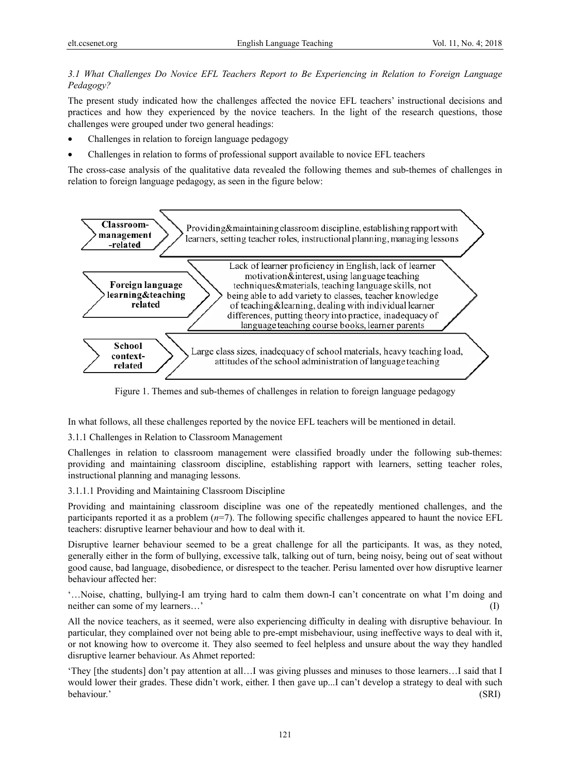# *3.1 What Challenges Do Novice EFL Teachers Report to Be Experiencing in Relation to Foreign Language Pedagogy?*

The present study indicated how the challenges affected the novice EFL teachers' instructional decisions and practices and how they experienced by the novice teachers. In the light of the research questions, those challenges were grouped under two general headings:

- Challenges in relation to foreign language pedagogy
- Challenges in relation to forms of professional support available to novice EFL teachers

The cross-case analysis of the qualitative data revealed the following themes and sub-themes of challenges in relation to foreign language pedagogy, as seen in the figure below:



Figure 1. Themes and sub-themes of challenges in relation to foreign language pedagogy

In what follows, all these challenges reported by the novice EFL teachers will be mentioned in detail.

3.1.1 Challenges in Relation to Classroom Management

Challenges in relation to classroom management were classified broadly under the following sub-themes: providing and maintaining classroom discipline, establishing rapport with learners, setting teacher roles, instructional planning and managing lessons.

3.1.1.1 Providing and Maintaining Classroom Discipline

Providing and maintaining classroom discipline was one of the repeatedly mentioned challenges, and the participants reported it as a problem  $(n=7)$ . The following specific challenges appeared to haunt the novice EFL teachers: disruptive learner behaviour and how to deal with it.

Disruptive learner behaviour seemed to be a great challenge for all the participants. It was, as they noted, generally either in the form of bullying, excessive talk, talking out of turn, being noisy, being out of seat without good cause, bad language, disobedience, or disrespect to the teacher. Perisu lamented over how disruptive learner behaviour affected her:

'…Noise, chatting, bullying-I am trying hard to calm them down-I can't concentrate on what I'm doing and neither can some of my learners…' (I)

All the novice teachers, as it seemed, were also experiencing difficulty in dealing with disruptive behaviour. In particular, they complained over not being able to pre-empt misbehaviour, using ineffective ways to deal with it, or not knowing how to overcome it. They also seemed to feel helpless and unsure about the way they handled disruptive learner behaviour. As Ahmet reported:

'They [the students] don't pay attention at all…I was giving plusses and minuses to those learners…I said that I would lower their grades. These didn't work, either. I then gave up...I can't develop a strategy to deal with such behaviour.' (SRI)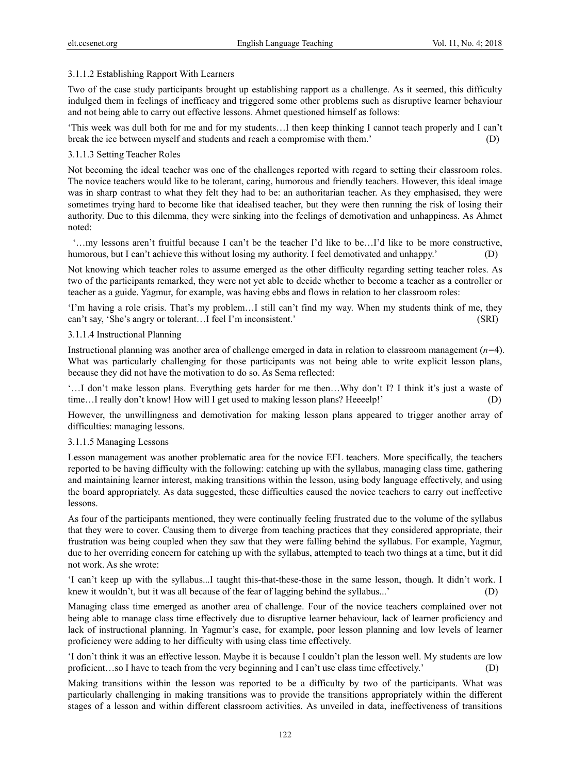## 3.1.1.2 Establishing Rapport With Learners

Two of the case study participants brought up establishing rapport as a challenge. As it seemed, this difficulty indulged them in feelings of inefficacy and triggered some other problems such as disruptive learner behaviour and not being able to carry out effective lessons. Ahmet questioned himself as follows:

'This week was dull both for me and for my students…I then keep thinking I cannot teach properly and I can't break the ice between myself and students and reach a compromise with them.' (D)

## 3.1.1.3 Setting Teacher Roles

Not becoming the ideal teacher was one of the challenges reported with regard to setting their classroom roles. The novice teachers would like to be tolerant, caring, humorous and friendly teachers. However, this ideal image was in sharp contrast to what they felt they had to be: an authoritarian teacher. As they emphasised, they were sometimes trying hard to become like that idealised teacher, but they were then running the risk of losing their authority. Due to this dilemma, they were sinking into the feelings of demotivation and unhappiness. As Ahmet noted:

 '…my lessons aren't fruitful because I can't be the teacher I'd like to be…I'd like to be more constructive, humorous, but I can't achieve this without losing my authority. I feel demotivated and unhappy.' (D)

Not knowing which teacher roles to assume emerged as the other difficulty regarding setting teacher roles. As two of the participants remarked, they were not yet able to decide whether to become a teacher as a controller or teacher as a guide. Yagmur, for example, was having ebbs and flows in relation to her classroom roles:

'I'm having a role crisis. That's my problem…I still can't find my way. When my students think of me, they can't say, 'She's angry or tolerant…I feel I'm inconsistent.' (SRI)

#### 3.1.1.4 Instructional Planning

Instructional planning was another area of challenge emerged in data in relation to classroom management (*n=*4). What was particularly challenging for those participants was not being able to write explicit lesson plans, because they did not have the motivation to do so. As Sema reflected:

'…I don't make lesson plans. Everything gets harder for me then…Why don't I? I think it's just a waste of time…I really don't know! How will I get used to making lesson plans? Heeeelp!' (D)

However, the unwillingness and demotivation for making lesson plans appeared to trigger another array of difficulties: managing lessons.

#### 3.1.1.5 Managing Lessons

Lesson management was another problematic area for the novice EFL teachers. More specifically, the teachers reported to be having difficulty with the following: catching up with the syllabus, managing class time, gathering and maintaining learner interest, making transitions within the lesson, using body language effectively, and using the board appropriately. As data suggested, these difficulties caused the novice teachers to carry out ineffective lessons.

As four of the participants mentioned, they were continually feeling frustrated due to the volume of the syllabus that they were to cover. Causing them to diverge from teaching practices that they considered appropriate, their frustration was being coupled when they saw that they were falling behind the syllabus. For example, Yagmur, due to her overriding concern for catching up with the syllabus, attempted to teach two things at a time, but it did not work. As she wrote:

'I can't keep up with the syllabus...I taught this-that-these-those in the same lesson, though. It didn't work. I knew it wouldn't, but it was all because of the fear of lagging behind the syllabus...' (D)

Managing class time emerged as another area of challenge. Four of the novice teachers complained over not being able to manage class time effectively due to disruptive learner behaviour, lack of learner proficiency and lack of instructional planning. In Yagmur's case, for example, poor lesson planning and low levels of learner proficiency were adding to her difficulty with using class time effectively.

'I don't think it was an effective lesson. Maybe it is because I couldn't plan the lesson well. My students are low proficient…so I have to teach from the very beginning and I can't use class time effectively.' (D)

Making transitions within the lesson was reported to be a difficulty by two of the participants. What was particularly challenging in making transitions was to provide the transitions appropriately within the different stages of a lesson and within different classroom activities. As unveiled in data, ineffectiveness of transitions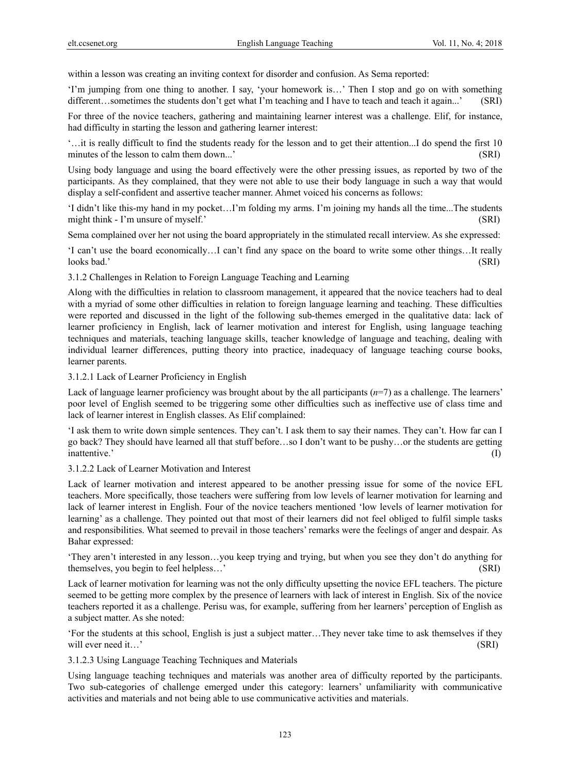within a lesson was creating an inviting context for disorder and confusion. As Sema reported:

'I'm jumping from one thing to another. I say, 'your homework is…' Then I stop and go on with something different…sometimes the students don't get what I'm teaching and I have to teach and teach it again...' (SRI)

For three of the novice teachers, gathering and maintaining learner interest was a challenge. Elif, for instance, had difficulty in starting the lesson and gathering learner interest:

'…it is really difficult to find the students ready for the lesson and to get their attention...I do spend the first 10 minutes of the lesson to calm them down...' (SRI)

Using body language and using the board effectively were the other pressing issues, as reported by two of the participants. As they complained, that they were not able to use their body language in such a way that would display a self-confident and assertive teacher manner. Ahmet voiced his concerns as follows:

'I didn't like this-my hand in my pocket…I'm folding my arms. I'm joining my hands all the time...The students might think - I'm unsure of myself.' (SRI)

Sema complained over her not using the board appropriately in the stimulated recall interview. As she expressed:

'I can't use the board economically…I can't find any space on the board to write some other things…It really looks bad.' (SRI)

3.1.2 Challenges in Relation to Foreign Language Teaching and Learning

Along with the difficulties in relation to classroom management, it appeared that the novice teachers had to deal with a myriad of some other difficulties in relation to foreign language learning and teaching. These difficulties were reported and discussed in the light of the following sub-themes emerged in the qualitative data: lack of learner proficiency in English, lack of learner motivation and interest for English, using language teaching techniques and materials, teaching language skills, teacher knowledge of language and teaching, dealing with individual learner differences, putting theory into practice, inadequacy of language teaching course books, learner parents.

#### 3.1.2.1 Lack of Learner Proficiency in English

Lack of language learner proficiency was brought about by the all participants  $(n=7)$  as a challenge. The learners' poor level of English seemed to be triggering some other difficulties such as ineffective use of class time and lack of learner interest in English classes. As Elif complained:

'I ask them to write down simple sentences. They can't. I ask them to say their names. They can't. How far can I go back? They should have learned all that stuff before…so I don't want to be pushy…or the students are getting inattentive.' (I)

#### 3.1.2.2 Lack of Learner Motivation and Interest

Lack of learner motivation and interest appeared to be another pressing issue for some of the novice EFL teachers. More specifically, those teachers were suffering from low levels of learner motivation for learning and lack of learner interest in English. Four of the novice teachers mentioned 'low levels of learner motivation for learning' as a challenge. They pointed out that most of their learners did not feel obliged to fulfil simple tasks and responsibilities. What seemed to prevail in those teachers' remarks were the feelings of anger and despair. As Bahar expressed:

'They aren't interested in any lesson…you keep trying and trying, but when you see they don't do anything for themselves, you begin to feel helpless…' (SRI)

Lack of learner motivation for learning was not the only difficulty upsetting the novice EFL teachers. The picture seemed to be getting more complex by the presence of learners with lack of interest in English. Six of the novice teachers reported it as a challenge. Perisu was, for example, suffering from her learners' perception of English as a subject matter. As she noted:

'For the students at this school, English is just a subject matter…They never take time to ask themselves if they will ever need it…' (SRI)

3.1.2.3 Using Language Teaching Techniques and Materials

Using language teaching techniques and materials was another area of difficulty reported by the participants. Two sub-categories of challenge emerged under this category: learners' unfamiliarity with communicative activities and materials and not being able to use communicative activities and materials.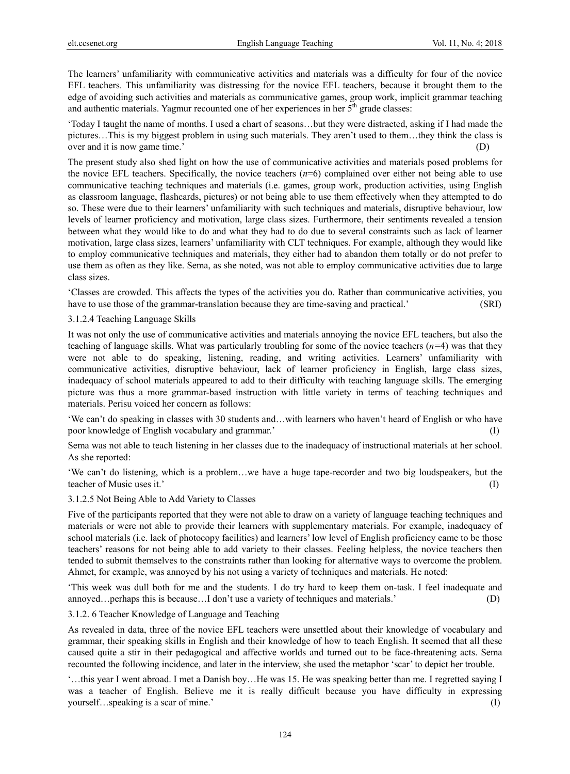The learners' unfamiliarity with communicative activities and materials was a difficulty for four of the novice EFL teachers. This unfamiliarity was distressing for the novice EFL teachers, because it brought them to the edge of avoiding such activities and materials as communicative games, group work, implicit grammar teaching and authentic materials. Yagmur recounted one of her experiences in her  $5<sup>th</sup>$  grade classes:

'Today I taught the name of months. I used a chart of seasons…but they were distracted, asking if I had made the pictures…This is my biggest problem in using such materials. They aren't used to them…they think the class is over and it is now game time.' (D)

The present study also shed light on how the use of communicative activities and materials posed problems for the novice EFL teachers. Specifically, the novice teachers (*n*=6) complained over either not being able to use communicative teaching techniques and materials (i.e. games, group work, production activities, using English as classroom language, flashcards, pictures) or not being able to use them effectively when they attempted to do so. These were due to their learners' unfamiliarity with such techniques and materials, disruptive behaviour, low levels of learner proficiency and motivation, large class sizes. Furthermore, their sentiments revealed a tension between what they would like to do and what they had to do due to several constraints such as lack of learner motivation, large class sizes, learners' unfamiliarity with CLT techniques. For example, although they would like to employ communicative techniques and materials, they either had to abandon them totally or do not prefer to use them as often as they like. Sema, as she noted, was not able to employ communicative activities due to large class sizes.

'Classes are crowded. This affects the types of the activities you do. Rather than communicative activities, you have to use those of the grammar-translation because they are time-saving and practical.' (SRI)

#### 3.1.2.4 Teaching Language Skills

It was not only the use of communicative activities and materials annoying the novice EFL teachers, but also the teaching of language skills. What was particularly troubling for some of the novice teachers (*n=*4) was that they were not able to do speaking, listening, reading, and writing activities. Learners' unfamiliarity with communicative activities, disruptive behaviour, lack of learner proficiency in English, large class sizes, inadequacy of school materials appeared to add to their difficulty with teaching language skills. The emerging picture was thus a more grammar-based instruction with little variety in terms of teaching techniques and materials. Perisu voiced her concern as follows:

'We can't do speaking in classes with 30 students and…with learners who haven't heard of English or who have poor knowledge of English vocabulary and grammar.' (I)

Sema was not able to teach listening in her classes due to the inadequacy of instructional materials at her school. As she reported:

'We can't do listening, which is a problem…we have a huge tape-recorder and two big loudspeakers, but the teacher of Music uses it.' (I)

#### 3.1.2.5 Not Being Able to Add Variety to Classes

Five of the participants reported that they were not able to draw on a variety of language teaching techniques and materials or were not able to provide their learners with supplementary materials. For example, inadequacy of school materials (i.e. lack of photocopy facilities) and learners' low level of English proficiency came to be those teachers' reasons for not being able to add variety to their classes. Feeling helpless, the novice teachers then tended to submit themselves to the constraints rather than looking for alternative ways to overcome the problem. Ahmet, for example, was annoyed by his not using a variety of techniques and materials. He noted:

'This week was dull both for me and the students. I do try hard to keep them on-task. I feel inadequate and annoyed…perhaps this is because…I don't use a variety of techniques and materials.' (D)

#### 3.1.2. 6 Teacher Knowledge of Language and Teaching

As revealed in data, three of the novice EFL teachers were unsettled about their knowledge of vocabulary and grammar, their speaking skills in English and their knowledge of how to teach English. It seemed that all these caused quite a stir in their pedagogical and affective worlds and turned out to be face-threatening acts. Sema recounted the following incidence, and later in the interview, she used the metaphor 'scar' to depict her trouble.

'…this year I went abroad. I met a Danish boy…He was 15. He was speaking better than me. I regretted saying I was a teacher of English. Believe me it is really difficult because you have difficulty in expressing yourself…speaking is a scar of mine.' (I)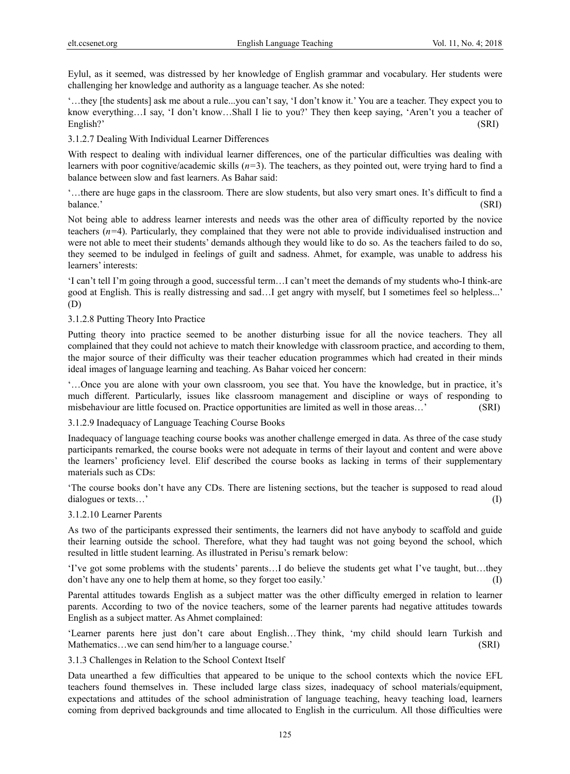Eylul, as it seemed, was distressed by her knowledge of English grammar and vocabulary. Her students were challenging her knowledge and authority as a language teacher. As she noted:

'…they [the students] ask me about a rule...you can't say, 'I don't know it.' You are a teacher. They expect you to know everything…I say, 'I don't know…Shall I lie to you?' They then keep saying, 'Aren't you a teacher of English?' (SRI)

3.1.2.7 Dealing With Individual Learner Differences

With respect to dealing with individual learner differences, one of the particular difficulties was dealing with learners with poor cognitive/academic skills (*n=*3). The teachers, as they pointed out, were trying hard to find a balance between slow and fast learners. As Bahar said:

'…there are huge gaps in the classroom. There are slow students, but also very smart ones. It's difficult to find a balance.' (SRI)

Not being able to address learner interests and needs was the other area of difficulty reported by the novice teachers (*n=*4). Particularly, they complained that they were not able to provide individualised instruction and were not able to meet their students' demands although they would like to do so. As the teachers failed to do so, they seemed to be indulged in feelings of guilt and sadness. Ahmet, for example, was unable to address his learners' interests:

'I can't tell I'm going through a good, successful term…I can't meet the demands of my students who-I think-are good at English. This is really distressing and sad…I get angry with myself, but I sometimes feel so helpless...' (D)

3.1.2.8 Putting Theory Into Practice

Putting theory into practice seemed to be another disturbing issue for all the novice teachers. They all complained that they could not achieve to match their knowledge with classroom practice, and according to them, the major source of their difficulty was their teacher education programmes which had created in their minds ideal images of language learning and teaching. As Bahar voiced her concern:

'…Once you are alone with your own classroom, you see that. You have the knowledge, but in practice, it's much different. Particularly, issues like classroom management and discipline or ways of responding to misbehaviour are little focused on. Practice opportunities are limited as well in those areas…' (SRI)

3.1.2.9 Inadequacy of Language Teaching Course Books

Inadequacy of language teaching course books was another challenge emerged in data. As three of the case study participants remarked, the course books were not adequate in terms of their layout and content and were above the learners' proficiency level. Elif described the course books as lacking in terms of their supplementary materials such as CDs:

'The course books don't have any CDs. There are listening sections, but the teacher is supposed to read aloud dialogues or texts…<sup>'</sup> (I)

3.1.2.10 Learner Parents

As two of the participants expressed their sentiments, the learners did not have anybody to scaffold and guide their learning outside the school. Therefore, what they had taught was not going beyond the school, which resulted in little student learning. As illustrated in Perisu's remark below:

'I've got some problems with the students' parents…I do believe the students get what I've taught, but…they don't have any one to help them at home, so they forget too easily.' (I)

Parental attitudes towards English as a subject matter was the other difficulty emerged in relation to learner parents. According to two of the novice teachers, some of the learner parents had negative attitudes towards English as a subject matter. As Ahmet complained:

'Learner parents here just don't care about English…They think, 'my child should learn Turkish and Mathematics...we can send him/her to a language course.' (SRI)

3.1.3 Challenges in Relation to the School Context Itself

Data unearthed a few difficulties that appeared to be unique to the school contexts which the novice EFL teachers found themselves in. These included large class sizes, inadequacy of school materials/equipment, expectations and attitudes of the school administration of language teaching, heavy teaching load, learners coming from deprived backgrounds and time allocated to English in the curriculum. All those difficulties were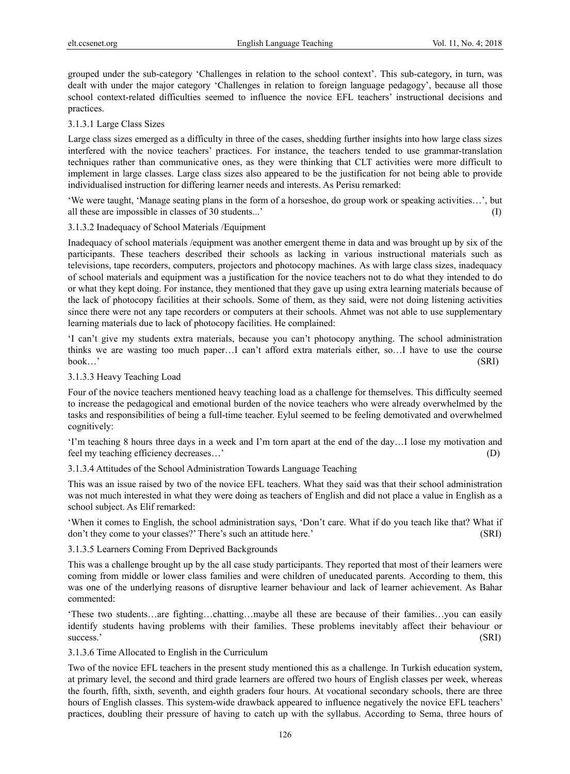grouped under the sub-category 'Challenges in relation to the school context'. This sub-category, in turn, was dealt with under the major category 'Challenges in relation to foreign language pedagogy', because all those school context-related difficulties seemed to influence the novice EFL teachers' instructional decisions and practices.

## 3.1.3.1 Large Class Sizes

Large class sizes emerged as a difficulty in three of the cases, shedding further insights into how large class sizes interfered with the novice teachers' practices. For instance, the teachers tended to use grammar-translation techniques rather than communicative ones, as they were thinking that CLT activities were more difficult to implement in large classes. Large class sizes also appeared to be the justification for not being able to provide individualised instruction for differing learner needs and interests. As Perisu remarked:

'We were taught, 'Manage seating plans in the form of a horseshoe, do group work or speaking activities…', but all these are impossible in classes of 30 students...' (I)

#### 3.1.3.2 Inadequacy of School Materials /Equipment

Inadequacy of school materials /equipment was another emergent theme in data and was brought up by six of the participants. These teachers described their schools as lacking in various instructional materials such as televisions, tape recorders, computers, projectors and photocopy machines. As with large class sizes, inadequacy of school materials and equipment was a justification for the novice teachers not to do what they intended to do or what they kept doing. For instance, they mentioned that they gave up using extra learning materials because of the lack of photocopy facilities at their schools. Some of them, as they said, were not doing listening activities since there were not any tape recorders or computers at their schools. Ahmet was not able to use supplementary learning materials due to lack of photocopy facilities. He complained:

'I can't give my students extra materials, because you can't photocopy anything. The school administration thinks we are wasting too much paper…I can't afford extra materials either, so…I have to use the course book…' (SRI)

## 3.1.3.3 Heavy Teaching Load

Four of the novice teachers mentioned heavy teaching load as a challenge for themselves. This difficulty seemed to increase the pedagogical and emotional burden of the novice teachers who were already overwhelmed by the tasks and responsibilities of being a full-time teacher. Eylul seemed to be feeling demotivated and overwhelmed cognitively:

'I'm teaching 8 hours three days in a week and I'm torn apart at the end of the day…I lose my motivation and feel my teaching efficiency decreases…' (D)

3.1.3.4 Attitudes of the School Administration Towards Language Teaching

This was an issue raised by two of the novice EFL teachers. What they said was that their school administration was not much interested in what they were doing as teachers of English and did not place a value in English as a school subject. As Elif remarked:

'When it comes to English, the school administration says, 'Don't care. What if do you teach like that? What if don't they come to your classes?' There's such an attitude here.' (SRI)

#### 3.1.3.5 Learners Coming From Deprived Backgrounds

This was a challenge brought up by the all case study participants. They reported that most of their learners were coming from middle or lower class families and were children of uneducated parents. According to them, this was one of the underlying reasons of disruptive learner behaviour and lack of learner achievement. As Bahar commented:

'These two students…are fighting…chatting…maybe all these are because of their families…you can easily identify students having problems with their families. These problems inevitably affect their behaviour or success.' (SRI)

#### 3.1.3.6 Time Allocated to English in the Curriculum

Two of the novice EFL teachers in the present study mentioned this as a challenge. In Turkish education system, at primary level, the second and third grade learners are offered two hours of English classes per week, whereas the fourth, fifth, sixth, seventh, and eighth graders four hours. At vocational secondary schools, there are three hours of English classes. This system-wide drawback appeared to influence negatively the novice EFL teachers' practices, doubling their pressure of having to catch up with the syllabus. According to Sema, three hours of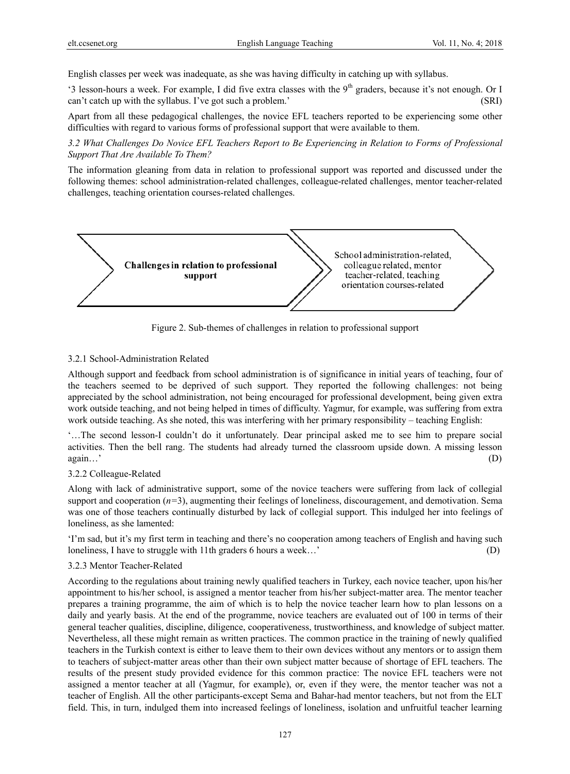English classes per week was inadequate, as she was having difficulty in catching up with syllabus.

'3 lesson-hours a week. For example, I did five extra classes with the 9<sup>th</sup> graders, because it's not enough. Or I can't catch up with the syllabus. I've got such a problem.' (SRI)

Apart from all these pedagogical challenges, the novice EFL teachers reported to be experiencing some other difficulties with regard to various forms of professional support that were available to them.

*3.2 What Challenges Do Novice EFL Teachers Report to Be Experiencing in Relation to Forms of Professional Support That Are Available To Them?* 

The information gleaning from data in relation to professional support was reported and discussed under the following themes: school administration-related challenges, colleague-related challenges, mentor teacher-related challenges, teaching orientation courses-related challenges.



Figure 2. Sub-themes of challenges in relation to professional support

## 3.2.1 School-Administration Related

Although support and feedback from school administration is of significance in initial years of teaching, four of the teachers seemed to be deprived of such support. They reported the following challenges: not being appreciated by the school administration, not being encouraged for professional development, being given extra work outside teaching, and not being helped in times of difficulty. Yagmur, for example, was suffering from extra work outside teaching. As she noted, this was interfering with her primary responsibility – teaching English:

'…The second lesson-I couldn't do it unfortunately. Dear principal asked me to see him to prepare social activities. Then the bell rang. The students had already turned the classroom upside down. A missing lesson again…'  $(D)$ 

#### 3.2.2 Colleague-Related

Along with lack of administrative support, some of the novice teachers were suffering from lack of collegial support and cooperation  $(n=3)$ , augmenting their feelings of loneliness, discouragement, and demotivation. Sema was one of those teachers continually disturbed by lack of collegial support. This indulged her into feelings of loneliness, as she lamented:

'I'm sad, but it's my first term in teaching and there's no cooperation among teachers of English and having such loneliness, I have to struggle with 11th graders 6 hours a week…' (D)

#### 3.2.3 Mentor Teacher-Related

According to the regulations about training newly qualified teachers in Turkey, each novice teacher, upon his/her appointment to his/her school, is assigned a mentor teacher from his/her subject-matter area. The mentor teacher prepares a training programme, the aim of which is to help the novice teacher learn how to plan lessons on a daily and yearly basis. At the end of the programme, novice teachers are evaluated out of 100 in terms of their general teacher qualities, discipline, diligence, cooperativeness, trustworthiness, and knowledge of subject matter. Nevertheless, all these might remain as written practices. The common practice in the training of newly qualified teachers in the Turkish context is either to leave them to their own devices without any mentors or to assign them to teachers of subject-matter areas other than their own subject matter because of shortage of EFL teachers. The results of the present study provided evidence for this common practice: The novice EFL teachers were not assigned a mentor teacher at all (Yagmur, for example), or, even if they were, the mentor teacher was not a teacher of English. All the other participants-except Sema and Bahar-had mentor teachers, but not from the ELT field. This, in turn, indulged them into increased feelings of loneliness, isolation and unfruitful teacher learning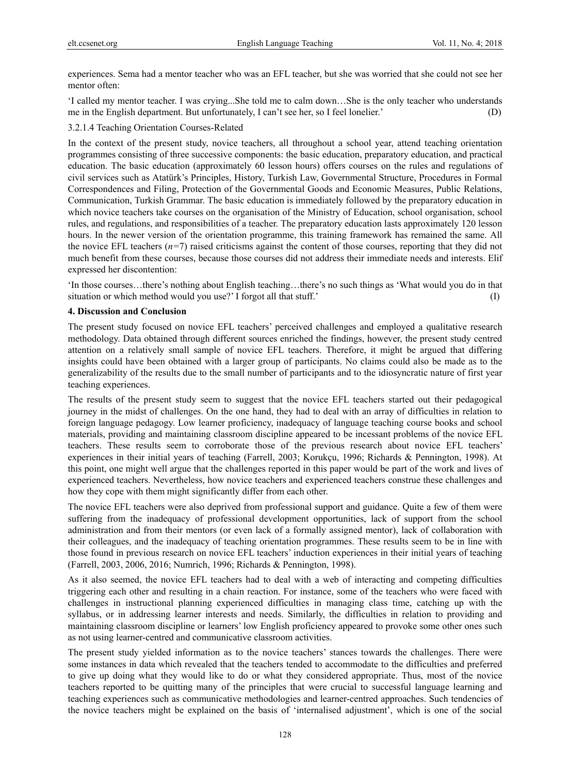experiences. Sema had a mentor teacher who was an EFL teacher, but she was worried that she could not see her mentor often<sup>-</sup>

'I called my mentor teacher. I was crying...She told me to calm down…She is the only teacher who understands me in the English department. But unfortunately, I can't see her, so I feel lonelier.' (D)

## 3.2.1.4 Teaching Orientation Courses-Related

In the context of the present study, novice teachers, all throughout a school year, attend teaching orientation programmes consisting of three successive components: the basic education, preparatory education, and practical education. The basic education (approximately 60 lesson hours) offers courses on the rules and regulations of civil services such as Atatürk's Principles, History, Turkish Law, Governmental Structure, Procedures in Formal Correspondences and Filing, Protection of the Governmental Goods and Economic Measures, Public Relations, Communication, Turkish Grammar. The basic education is immediately followed by the preparatory education in which novice teachers take courses on the organisation of the Ministry of Education, school organisation, school rules, and regulations, and responsibilities of a teacher. The preparatory education lasts approximately 120 lesson hours. In the newer version of the orientation programme, this training framework has remained the same. All the novice EFL teachers (*n=*7) raised criticisms against the content of those courses, reporting that they did not much benefit from these courses, because those courses did not address their immediate needs and interests. Elif expressed her discontention:

'In those courses…there's nothing about English teaching…there's no such things as 'What would you do in that situation or which method would you use?' I forgot all that stuff.' (I)

## **4. Discussion and Conclusion**

The present study focused on novice EFL teachers' perceived challenges and employed a qualitative research methodology. Data obtained through different sources enriched the findings, however, the present study centred attention on a relatively small sample of novice EFL teachers. Therefore, it might be argued that differing insights could have been obtained with a larger group of participants. No claims could also be made as to the generalizability of the results due to the small number of participants and to the idiosyncratic nature of first year teaching experiences.

The results of the present study seem to suggest that the novice EFL teachers started out their pedagogical journey in the midst of challenges. On the one hand, they had to deal with an array of difficulties in relation to foreign language pedagogy. Low learner proficiency, inadequacy of language teaching course books and school materials, providing and maintaining classroom discipline appeared to be incessant problems of the novice EFL teachers. These results seem to corroborate those of the previous research about novice EFL teachers' experiences in their initial years of teaching (Farrell, 2003; Korukçu, 1996; Richards & Pennington, 1998). At this point, one might well argue that the challenges reported in this paper would be part of the work and lives of experienced teachers. Nevertheless, how novice teachers and experienced teachers construe these challenges and how they cope with them might significantly differ from each other.

The novice EFL teachers were also deprived from professional support and guidance. Quite a few of them were suffering from the inadequacy of professional development opportunities, lack of support from the school administration and from their mentors (or even lack of a formally assigned mentor), lack of collaboration with their colleagues, and the inadequacy of teaching orientation programmes. These results seem to be in line with those found in previous research on novice EFL teachers' induction experiences in their initial years of teaching (Farrell, 2003, 2006, 2016; Numrich, 1996; Richards & Pennington, 1998).

As it also seemed, the novice EFL teachers had to deal with a web of interacting and competing difficulties triggering each other and resulting in a chain reaction. For instance, some of the teachers who were faced with challenges in instructional planning experienced difficulties in managing class time, catching up with the syllabus, or in addressing learner interests and needs. Similarly, the difficulties in relation to providing and maintaining classroom discipline or learners' low English proficiency appeared to provoke some other ones such as not using learner-centred and communicative classroom activities.

The present study yielded information as to the novice teachers' stances towards the challenges. There were some instances in data which revealed that the teachers tended to accommodate to the difficulties and preferred to give up doing what they would like to do or what they considered appropriate. Thus, most of the novice teachers reported to be quitting many of the principles that were crucial to successful language learning and teaching experiences such as communicative methodologies and learner-centred approaches. Such tendencies of the novice teachers might be explained on the basis of 'internalised adjustment', which is one of the social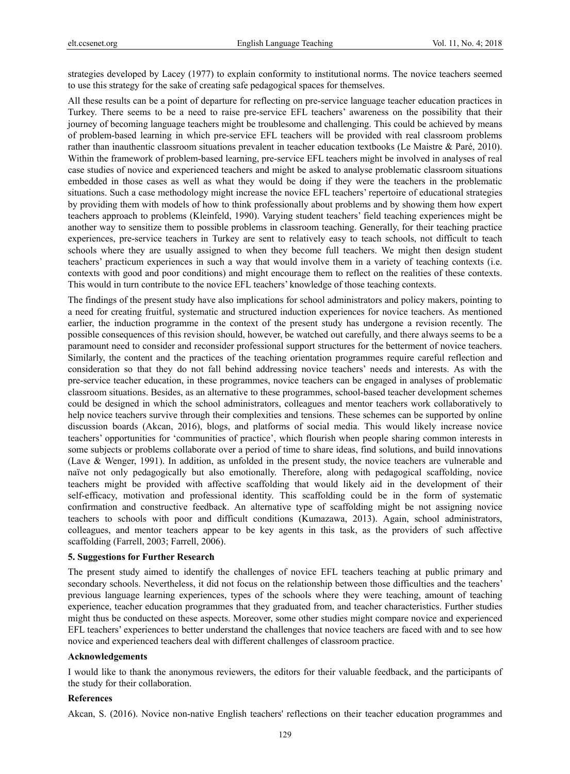strategies developed by Lacey (1977) to explain conformity to institutional norms. The novice teachers seemed to use this strategy for the sake of creating safe pedagogical spaces for themselves.

All these results can be a point of departure for reflecting on pre-service language teacher education practices in Turkey. There seems to be a need to raise pre-service EFL teachers' awareness on the possibility that their journey of becoming language teachers might be troublesome and challenging. This could be achieved by means of problem-based learning in which pre-service EFL teachers will be provided with real classroom problems rather than inauthentic classroom situations prevalent in teacher education textbooks (Le Maistre & Paré, 2010). Within the framework of problem-based learning, pre-service EFL teachers might be involved in analyses of real case studies of novice and experienced teachers and might be asked to analyse problematic classroom situations embedded in those cases as well as what they would be doing if they were the teachers in the problematic situations. Such a case methodology might increase the novice EFL teachers' repertoire of educational strategies by providing them with models of how to think professionally about problems and by showing them how expert teachers approach to problems (Kleinfeld, 1990). Varying student teachers' field teaching experiences might be another way to sensitize them to possible problems in classroom teaching. Generally, for their teaching practice experiences, pre-service teachers in Turkey are sent to relatively easy to teach schools, not difficult to teach schools where they are usually assigned to when they become full teachers. We might then design student teachers' practicum experiences in such a way that would involve them in a variety of teaching contexts (i.e. contexts with good and poor conditions) and might encourage them to reflect on the realities of these contexts. This would in turn contribute to the novice EFL teachers' knowledge of those teaching contexts.

The findings of the present study have also implications for school administrators and policy makers, pointing to a need for creating fruitful, systematic and structured induction experiences for novice teachers. As mentioned earlier, the induction programme in the context of the present study has undergone a revision recently. The possible consequences of this revision should, however, be watched out carefully, and there always seems to be a paramount need to consider and reconsider professional support structures for the betterment of novice teachers. Similarly, the content and the practices of the teaching orientation programmes require careful reflection and consideration so that they do not fall behind addressing novice teachers' needs and interests. As with the pre-service teacher education, in these programmes, novice teachers can be engaged in analyses of problematic classroom situations. Besides, as an alternative to these programmes, school-based teacher development schemes could be designed in which the school administrators, colleagues and mentor teachers work collaboratively to help novice teachers survive through their complexities and tensions. These schemes can be supported by online discussion boards (Akcan, 2016), blogs, and platforms of social media. This would likely increase novice teachers' opportunities for 'communities of practice', which flourish when people sharing common interests in some subjects or problems collaborate over a period of time to share ideas, find solutions, and build innovations (Lave & Wenger, 1991). In addition, as unfolded in the present study, the novice teachers are vulnerable and naïve not only pedagogically but also emotionally. Therefore, along with pedagogical scaffolding, novice teachers might be provided with affective scaffolding that would likely aid in the development of their self-efficacy, motivation and professional identity. This scaffolding could be in the form of systematic confirmation and constructive feedback. An alternative type of scaffolding might be not assigning novice teachers to schools with poor and difficult conditions (Kumazawa, 2013). Again, school administrators, colleagues, and mentor teachers appear to be key agents in this task, as the providers of such affective scaffolding (Farrell, 2003; Farrell, 2006).

#### **5. Suggestions for Further Research**

The present study aimed to identify the challenges of novice EFL teachers teaching at public primary and secondary schools. Nevertheless, it did not focus on the relationship between those difficulties and the teachers' previous language learning experiences, types of the schools where they were teaching, amount of teaching experience, teacher education programmes that they graduated from, and teacher characteristics. Further studies might thus be conducted on these aspects. Moreover, some other studies might compare novice and experienced EFL teachers' experiences to better understand the challenges that novice teachers are faced with and to see how novice and experienced teachers deal with different challenges of classroom practice.

#### **Acknowledgements**

I would like to thank the anonymous reviewers, the editors for their valuable feedback, and the participants of the study for their collaboration.

#### **References**

Akcan, S. (2016). Novice non-native English teachers' reflections on their teacher education programmes and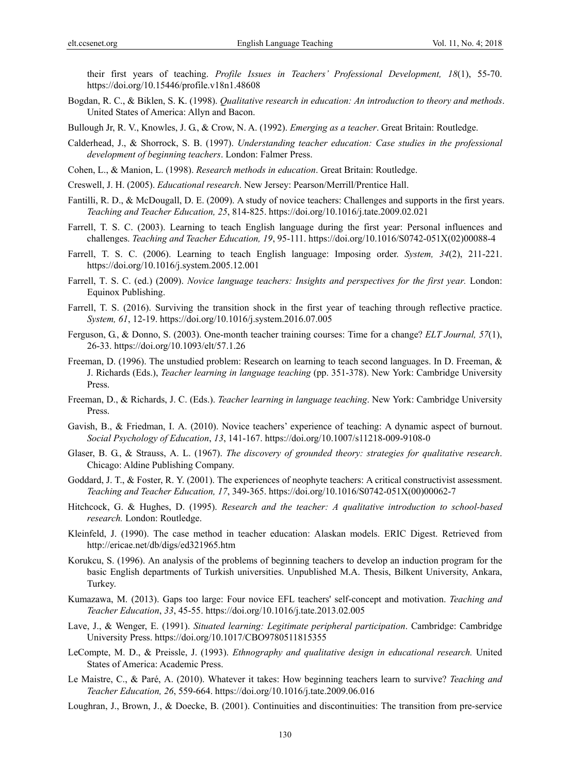their first years of teaching. *Profile Issues in Teachers' Professional Development, 18*(1), 55-70. https://doi.org/10.15446/profile.v18n1.48608

Bogdan, R. C., & Biklen, S. K. (1998). *Qualitative research in education: An introduction to theory and methods*. United States of America: Allyn and Bacon.

Bullough Jr, R. V., Knowles, J. G., & Crow, N. A. (1992). *Emerging as a teacher*. Great Britain: Routledge.

- Calderhead, J., & Shorrock, S. B. (1997). *Understanding teacher education: Case studies in the professional development of beginning teachers*. London: Falmer Press.
- Cohen, L., & Manion, L. (1998). *Research methods in education*. Great Britain: Routledge.
- Creswell, J. H. (2005). *Educational research*. New Jersey: Pearson/Merrill/Prentice Hall.
- Fantilli, R. D., & McDougall, D. E. (2009). A study of novice teachers: Challenges and supports in the first years. *Teaching and Teacher Education, 25*, 814-825. https://doi.org/10.1016/j.tate.2009.02.021
- Farrell, T. S. C. (2003). Learning to teach English language during the first year: Personal influences and challenges. *Teaching and Teacher Education, 19*, 95-111. https://doi.org/10.1016/S0742-051X(02)00088-4
- Farrell, T. S. C. (2006). Learning to teach English language: Imposing order. *System, 34*(2), 211-221. https://doi.org/10.1016/j.system.2005.12.001
- Farrell, T. S. C. (ed.) (2009). *Novice language teachers: Insights and perspectives for the first year.* London: Equinox Publishing.
- Farrell, T. S. (2016). Surviving the transition shock in the first year of teaching through reflective practice. *System, 61*, 12-19. https://doi.org/10.1016/j.system.2016.07.005
- Ferguson, G., & Donno, S. (2003). One-month teacher training courses: Time for a change? *ELT Journal, 57*(1), 26-33. https://doi.org/10.1093/elt/57.1.26
- Freeman, D. (1996). The unstudied problem: Research on learning to teach second languages. In D. Freeman, & J. Richards (Eds.), *Teacher learning in language teaching* (pp. 351-378). New York: Cambridge University Press.
- Freeman, D., & Richards, J. C. (Eds.). *Teacher learning in language teaching*. New York: Cambridge University Press.
- Gavish, B., & Friedman, I. A. (2010). Novice teachers' experience of teaching: A dynamic aspect of burnout. *Social Psychology of Education*, *13*, 141-167. https://doi.org/10.1007/s11218-009-9108-0
- Glaser, B. G., & Strauss, A. L. (1967). *The discovery of grounded theory: strategies for qualitative research*. Chicago: Aldine Publishing Company.
- Goddard, J. T., & Foster, R. Y. (2001). The experiences of neophyte teachers: A critical constructivist assessment. *Teaching and Teacher Education, 17*, 349-365. https://doi.org/10.1016/S0742-051X(00)00062-7
- Hitchcock, G. & Hughes, D. (1995). *Research and the teacher: A qualitative introduction to school-based research.* London: Routledge.
- Kleinfeld, J. (1990). The case method in teacher education: Alaskan models. ERIC Digest. Retrieved from http://ericae.net/db/digs/ed321965.htm
- Korukcu, S. (1996). An analysis of the problems of beginning teachers to develop an induction program for the basic English departments of Turkish universities. Unpublished M.A. Thesis, Bilkent University, Ankara, Turkey.
- Kumazawa, M. (2013). Gaps too large: Four novice EFL teachers' self-concept and motivation. *Teaching and Teacher Education*, *33*, 45-55. https://doi.org/10.1016/j.tate.2013.02.005
- Lave, J., & Wenger, E. (1991). *Situated learning: Legitimate peripheral participation*. Cambridge: Cambridge University Press. https://doi.org/10.1017/CBO9780511815355
- LeCompte, M. D., & Preissle, J. (1993). *Ethnography and qualitative design in educational research.* United States of America: Academic Press.
- Le Maistre, C., & Paré, A. (2010). Whatever it takes: How beginning teachers learn to survive? *Teaching and Teacher Education, 26*, 559-664. https://doi.org/10.1016/j.tate.2009.06.016
- Loughran, J., Brown, J., & Doecke, B. (2001). Continuities and discontinuities: The transition from pre-service